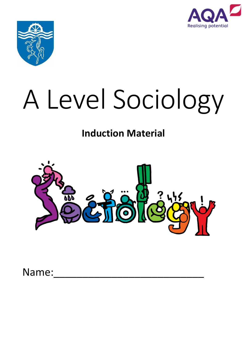



# A Level Sociology

# **Induction Material**



Name: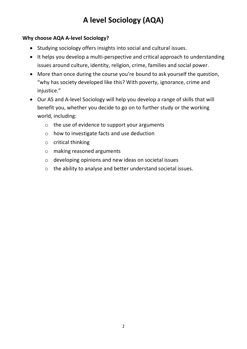### **Why choose AQA A-level Sociology?**

- Studying sociology offers insights into social and cultural issues.
- It helps you develop a multi-perspective and critical approach to understanding issues around culture, identity, religion, crime, families and social power.
- More than once during the course you're bound to ask yourself the question, "why has society developed like this? With poverty, ignorance, crime and iniustice."
- Our AS and A-level Sociology will help you develop a range of skills that will benefit you, whether you decide to go on to further study or the working world, including:
	- o the use of evidence to support your arguments
	- o how to investigate facts and use deduction
	- o critical thinking
	- o making reasoned arguments
	- o developing opinions and new ideas on societal issues
	- o the ability to analyse and better understand societal issues.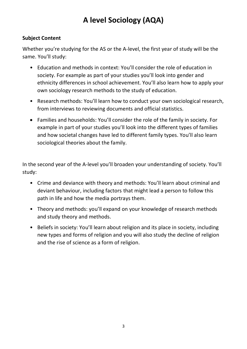### **Subject Content**

Whether you're studying for the AS or the A-level, the first year of study will be the same. You'll study:

- Education and methods in context: You'll consider the role of education in society. For example as part of your studies you'll look into gender and ethnicity differences in school achievement. You'll also learn how to apply your own sociology research methods to the study of education.
- Research methods: You'll learn how to conduct your own sociological research, from interviews to reviewing documents and official statistics.
- Families and households: You'll consider the role of the family in society. For example in part of your studies you'll look into the different types of families and how societal changes have led to different family types. You'll also learn sociological theories about the family.

In the second year of the A-level you'll broaden your understanding of society. You'll study:

- Crime and deviance with theory and methods: You'll learn about criminal and deviant behaviour, including factors that might lead a person to follow this path in life and how the media portrays them.
- Theory and methods: you'll expand on your knowledge of research methods and study theory and methods.
- Beliefs in society: You'll learn about religion and its place in society, including new types and forms of religion and you will also study the decline of religion and the rise of science as a form of religion.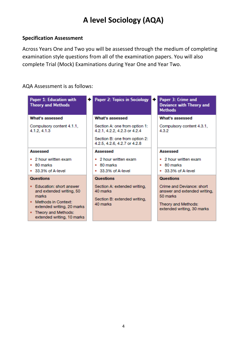### **Specification Assessment**

Across Years One and Two you will be assessed through the medium of completing examination style questions from all of the examination papers. You will also complete Trial (Mock) Examinations during Year One and Year Two.

#### AQA Assessment is as follows:

| Paper 1: Education with<br><b>Theory and Methods</b>                                                                                                                                         | <b>Paper 2: Topics in Sociology</b>                                                                                            | ÷۱ | Paper 3: Crime and<br><b>Deviance with Theory and</b><br><b>Methods</b>                                                                        |
|----------------------------------------------------------------------------------------------------------------------------------------------------------------------------------------------|--------------------------------------------------------------------------------------------------------------------------------|----|------------------------------------------------------------------------------------------------------------------------------------------------|
| What's assessed                                                                                                                                                                              | What's assessed                                                                                                                |    | What's assessed                                                                                                                                |
| Compulsory content 4.1.1,<br>4.1.2, 4.1.3                                                                                                                                                    | Section A: one from option 1:<br>4.2.1, 4.2.2, 4.2.3 or 4.2.4<br>Section B: one from option 2:<br>4.2.5, 4.2.6, 4.2.7 or 4.2.8 |    | Compulsory content 4.3.1,<br>4.3.2                                                                                                             |
| <b>Assessed</b><br>• 2 hour written exam<br>$\bullet$ 80 marks<br>• 33.3% of A-level                                                                                                         | Assessed<br>2 hour written exam<br>80 marks<br>٠<br>33.3% of A-level                                                           |    | Assessed<br>• 2 hour written exam<br>$\cdot$ 80 marks<br>33.3% of A-level                                                                      |
| <b>Questions</b><br>• Education: short answer<br>and extended writing, 50<br>marks<br>Methods in Context:<br>extended writing, 20 marks<br>Theory and Methods:<br>extended writing, 10 marks | <b>Questions</b><br>Section A: extended writing.<br>40 marks<br>Section B: extended writing,<br>40 marks                       |    | <b>Questions</b><br>Crime and Deviance: short<br>answer and extended writing.<br>50 marks<br>Theory and Methods:<br>extended writing, 30 marks |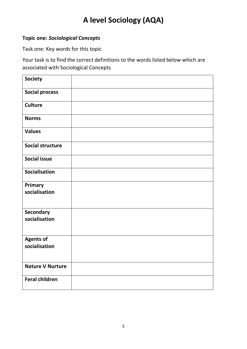### **Topic one:** *Sociological Concepts*

Task one: Key words for this topic

Your task is to find the correct definitions to the words listed below which are associated with Sociological Concepts

| <b>Society</b>                    |  |
|-----------------------------------|--|
| <b>Social process</b>             |  |
| <b>Culture</b>                    |  |
| <b>Norms</b>                      |  |
| <b>Values</b>                     |  |
| <b>Social structure</b>           |  |
| <b>Social issue</b>               |  |
| Socialisation                     |  |
| Primary<br>socialisation          |  |
| Secondary<br>socialisation        |  |
| <b>Agents of</b><br>socialisation |  |
| <b>Nature V Nurture</b>           |  |
| <b>Feral children</b>             |  |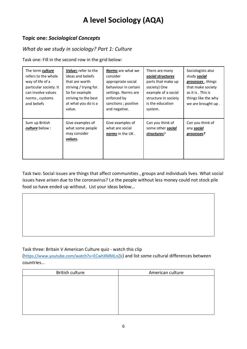#### **Topic one:** *Sociological Concepts*

#### *What do we study in sociology? Part 1: Culture*

Task one: Fill in the second row in the grid below:

| The term culture<br>refers to the whole<br>way of life of a<br>particular society. It<br>can involve values<br>norms, customs<br>and beliefs | <b>Values</b> refer to the<br>ideas and beliefs<br>that are worth<br>striving / trying for.<br>So for example<br>striving to the best<br>at what you do is a<br>value. | <b>Norms</b> are what we<br>consider<br>appropriate social<br>behaviour in certain<br>settings. Norms are<br>enforced by<br>sanctions; positive<br>and negative. | There are many<br>social structures<br>parts that make up<br>society) One<br>example of a social<br>structure in society<br>is the education<br>system. | Sociologists also<br>study social<br>processes, things<br>that make society<br>as it is . This is<br>things like the why<br>we are brought up. |
|----------------------------------------------------------------------------------------------------------------------------------------------|------------------------------------------------------------------------------------------------------------------------------------------------------------------------|------------------------------------------------------------------------------------------------------------------------------------------------------------------|---------------------------------------------------------------------------------------------------------------------------------------------------------|------------------------------------------------------------------------------------------------------------------------------------------------|
| Sum up British<br>culture below :                                                                                                            | Give examples of<br>what some people<br>may consider<br>values.                                                                                                        | Give examples of<br>what are social<br>norms in the UK.                                                                                                          | Can you think of<br>some other social<br>structures?                                                                                                    | Can you think of<br>any social<br>processes?                                                                                                   |

Task two: Social issues are things that affect communities , groups and individuals lives. What social issues have arisen due to the coronavirus? I,e the people without less money could not stock pile food so have ended up without. List your ideas below…

#### Task three: Britain V American Culture quiz - watch this clip

(<https://www.youtube.com/watch?v=ECwhXMMLnZk>) and list some cultural differences between countries…

| American culture |
|------------------|
|                  |
|                  |
|                  |
|                  |
|                  |
|                  |
|                  |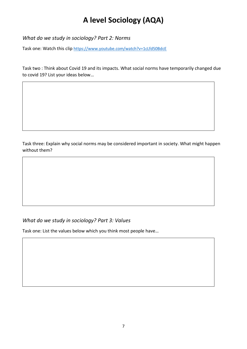*What do we study in sociology? Part 2: Norms* 

Task one: Watch this clip <https://www.youtube.com/watch?v=1cLfd50BdcE>

Task two : Think about Covid 19 and its impacts. What social norms have temporarily changed due to covid 19? List your ideas below…

Task three: Explain why social norms may be considered important in society. What might happen without them?

### *What do we study in sociology? Part 3: Values*

Task one: List the values below which you think most people have…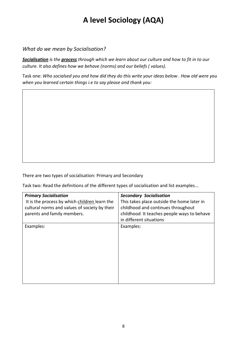*What do we mean by Socialisation?*

*Socialisation is the process through which we learn about our culture and how to fit in to our culture. It also defines how we behave (norms) and our beliefs ( values).*

Task one: *Who socialsed you and how did they do this write your ideas below . How old were you when you learned certain things i.e to say please and thank you:* 

There are two types of socialisation: Primary and Secondary

Task two: Read the definitions of the different types of socialisation and list examples…

| <b>Primary Socialisation</b><br>It is the process by which children learn the<br>cultural norms and values of society by their<br>parents and family members. | <b>Secondary Socialisation</b><br>This takes place outside the home later in<br>childhood and continues throughout<br>childhood It teaches people ways to behave<br>in different situations |
|---------------------------------------------------------------------------------------------------------------------------------------------------------------|---------------------------------------------------------------------------------------------------------------------------------------------------------------------------------------------|
| Examples:                                                                                                                                                     | Examples:                                                                                                                                                                                   |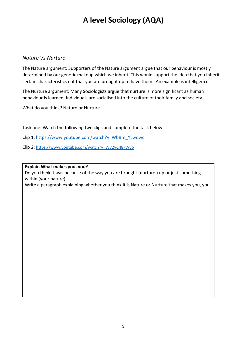#### *Nature Vs Nurture*

The Nature argument: Supporters of the Nature argument argue that our behaviour is mostly determined by our genetic makeup which we inherit. This would support the idea that you inherit certain characteristics not that you are brought up to have them . An example is intelligence.

The Nurture argument: Many Sociologists argue that nurture is more significant as human behaviour is learned. Individuals are socialised into the culture of their family and society.

What do you think? Nature or Nurture

Task one: Watch the following two clips and complete the task below…

- Clip 1: [https://www.youtube.com/watch?v=WbBm\\_YLwowc](https://www.youtube.com/watch?v=WbBm_YLwowc)
- Clip 2: <https://www.youtube.com/watch?v=W72vC48kWyo>

**Explain What makes you, you?** 

Do you think it was because of the way you are brought (nurture ) up or just something within (your nature)

Write a paragraph explaining whether you think it is Nature or Nurture that makes you, you.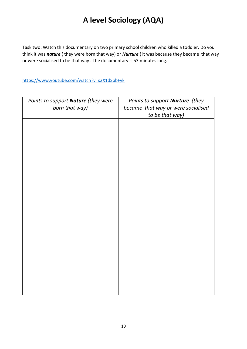Task two: Watch this documentary on two primary school children who killed a toddler. Do you think it was *nature* ( they were born that way) or *Nurture* ( it was because they became that way or were socialised to be that way . The documentary is 53 minutes long.

<https://www.youtube.com/watch?v=s2X1dSbbFyk>

| Points to support Nature (they were<br>born that way) | Points to support Nurture (they<br>became that way or were socialised<br>to be that way) |
|-------------------------------------------------------|------------------------------------------------------------------------------------------|
|                                                       |                                                                                          |
|                                                       |                                                                                          |
|                                                       |                                                                                          |
|                                                       |                                                                                          |
|                                                       |                                                                                          |
|                                                       |                                                                                          |
|                                                       |                                                                                          |
|                                                       |                                                                                          |
|                                                       |                                                                                          |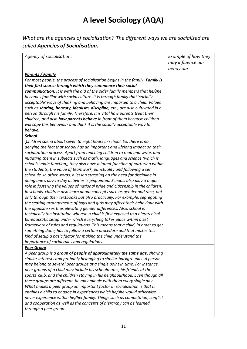*What are the agencies of socialisation? The different ways we are socialised are called Agencies of Socialisation.*

| Agency of socialisation:                                                        | Example of how they<br>may influence our<br>behaviour: |
|---------------------------------------------------------------------------------|--------------------------------------------------------|
| <b>Parents / Family</b>                                                         |                                                        |
| For most people, the process of socialisation begins in the family. Family is   |                                                        |
| their first source through which they commence their social                     |                                                        |
|                                                                                 |                                                        |
| communication. It is with the aid of the older family members that he/she       |                                                        |
| becomes familiar with social culture. It is through family that 'socially       |                                                        |
| acceptable' ways of thinking and behaving are imparted to a child. Values       |                                                        |
| such as sharing, honesty, idealism, discipline, etc., are also cultivated in a  |                                                        |
| person through his family. Therefore, it is vital how parents treat their       |                                                        |
| children, and also <b>how parents behave</b> in front of them because children  |                                                        |
| will copy this behaviour and think it is the socially acceptable way to         |                                                        |
| behave.                                                                         |                                                        |
| <b>School</b>                                                                   |                                                        |
| Children spend about seven to eight hours in school. So, there is no            |                                                        |
| denying the fact that school has an important and lifelong impact on their      |                                                        |
| socialization process. Apart from teaching children to read and write, and      |                                                        |
| initiating them in subjects such as math, languages and science (which is       |                                                        |
| schools' main function), they also have a latent function of nurturing within   |                                                        |
| the students, the value of teamwork, punctuality and following a set            |                                                        |
| schedule. In other words, a lesson stressing on the need for discipline in      |                                                        |
| doing one's day-to-day activities is pinpointed. Schools also play a major      |                                                        |
| role in fostering the values of national pride and citizenship in the children. |                                                        |
| In schools, children also learn about concepts such as gender and race, not     |                                                        |
| only through their textbooks but also practically. For example, segregating     |                                                        |
| the seating arrangements of boys and girls may affect their behaviour with      |                                                        |
| the opposite sex thus elevating gender differences. Also, school is             |                                                        |
| technically the institution wherein a child is first exposed to a hierarchical  |                                                        |
| bureaucratic setup under which everything takes place within a set              |                                                        |
| framework of rules and regulations. This means that a child, in order to get    |                                                        |
| something done, has to follow a certain procedure and that makes this           |                                                        |
| kind of setup a basic factor for making the child understand the                |                                                        |
| importance of social rules and regulations.                                     |                                                        |
| <b>Peer Group</b>                                                               |                                                        |
| A peer group is a group of people of approximately the same age, sharing        |                                                        |
| similar interests and probably belonging to similar backgrounds. A person       |                                                        |
| may belong to several peer groups at a single point in time. For instance,      |                                                        |
| peer groups of a child may include his schoolmates, his friends at the          |                                                        |
| sports' club, and the children staying in his neighbourhood. Even though all    |                                                        |
| these groups are different, he may mingle with them every single day.           |                                                        |
| What makes a peer group an important factor in socialization is that it         |                                                        |
| enables a child to engage in experiences which he/she would otherwise           |                                                        |
| never experience within his/her family. Things such as competition, conflict    |                                                        |
| and cooperation as well as the concepts of hierarchy can be learned             |                                                        |
|                                                                                 |                                                        |
| through a peer group.                                                           |                                                        |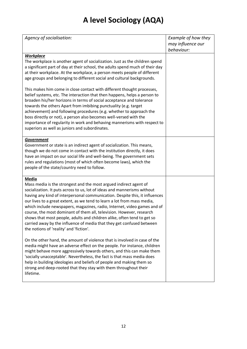| Agency of socialisation:                                                                                                                                                                                                                                                                                                                                                                                                                                                                                                                                                                                                                                                   | Example of how they<br>may influence our |
|----------------------------------------------------------------------------------------------------------------------------------------------------------------------------------------------------------------------------------------------------------------------------------------------------------------------------------------------------------------------------------------------------------------------------------------------------------------------------------------------------------------------------------------------------------------------------------------------------------------------------------------------------------------------------|------------------------------------------|
|                                                                                                                                                                                                                                                                                                                                                                                                                                                                                                                                                                                                                                                                            | behaviour:                               |
| <b>Workplace</b><br>The workplace is another agent of socialization. Just as the children spend<br>a significant part of day at their school, the adults spend much of their day<br>at their workplace. At the workplace, a person meets people of different<br>age groups and belonging to different social and cultural backgrounds.<br>This makes him come in close contact with different thought processes,                                                                                                                                                                                                                                                           |                                          |
| belief systems, etc. The interaction that then happens, helps a person to<br>broaden his/her horizons in terms of social acceptance and tolerance<br>towards the others Apart from imbibing punctuality (e.g. target<br>achievement) and following procedures (e.g. whether to approach the<br>boss directly or not), a person also becomes well-versed with the<br>importance of regularity in work and behaving mannerisms with respect to<br>superiors as well as juniors and subordinates.                                                                                                                                                                             |                                          |
| <b>Government</b><br>Government or state is an indirect agent of socialization. This means,<br>though we do not come in contact with the institution directly, it does<br>have an impact on our social life and well-being. The government sets<br>rules and regulations (most of which often become laws), which the<br>people of the state/country need to follow.                                                                                                                                                                                                                                                                                                       |                                          |
| <b>Media</b><br>Mass media is the strongest and the most argued indirect agent of<br>socialization. It puts across to us, lot of ideas and mannerisms without<br>having any kind of interpersonal communication. Despite this, it influences<br>our lives to a great extent, as we tend to learn a lot from mass media,<br>which include newspapers, magazines, radio, Internet, video games and of<br>course, the most dominant of them all, television. However, research<br>shows that most people, adults and children alike, often tend to get so<br>carried away by the influence of media that they get confused between<br>the notions of 'reality' and 'fiction'. |                                          |
| On the other hand, the amount of violence that is involved in case of the<br>media might have an adverse effect on the people. For instance, children<br>might behave more aggressively towards others, and this can make them<br>'socially unacceptable'. Nevertheless, the fact is that mass media does<br>help in building ideologies and beliefs of people and making them so<br>strong and deep-rooted that they stay with them throughout their<br>lifetime.                                                                                                                                                                                                         |                                          |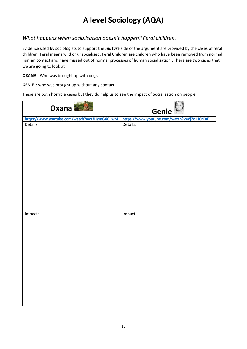#### *What happens when socialisation doesn't happen? Feral children.*

Evidence used by sociologists to support the *nurture* side of the argument are provided by the cases of feral children. Feral means wild or unsocialised. Feral Children are children who have been removed from normal human contact and have missed out of normal processes of human socialisation . There are two cases that we are going to look at

**OXANA** : Who was brought up with dogs

**GENIE** : who was brought up without any contact.

These are both horrible cases but they do help us to see the impact of Socialisation on people.

| Oxana                                       | Genie                                       |
|---------------------------------------------|---------------------------------------------|
| https://www.youtube.com/watch?v=93HymGXC_wM | https://www.youtube.com/watch?v=VjZolHCrC8E |
| Details:                                    | Details:                                    |
| Impact:                                     | Impact:                                     |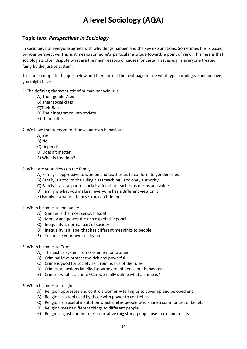#### **Topic two:** *Perspectives in Sociology*

In sociology not everyone agrees with why things happen and the key explanations. Sometimes this is based on your perspective. This just means someone's particular attitude towards a point of view. This means that sociologists often dispute what are the main reasons or causes for certain issues e.g. is everyone treated fairly by the justice system.

Task one: complete the quiz below and then look at the next page to see what type sociologist (perspective) you might have.

1. The defining characteristic of human behaviour is:

- A) Their gender/sex
- B) Their social class
- C)Their Race
- D) Their integration into society
- E) Their culture

#### 2. We have the freedom to choose our own behaviour

- A) Yes
- B) No
- C) Depends
- D) Doesn't matter
- E) What is freedom?

#### 3. What are your views on the family….

- A) Family is oppressive to women and teaches us to conform to gender roles
- B) Family is a tool of the ruling class teaching us to obey authority
- C) Family is a vital part of socialisation that teaches us norms and values
- D) Family is what you make it, everyone has a different view on it
- E) Family what is a family? You can't define it

#### 4. When it comes to inequality

- A) Gender is the most serious issue!
- B) Money and power the rich exploit the poor!
- C) Inequality is normal part of society
- D) Inequality is a label that has different meanings to people
- E) You make your own reality up

#### 5. When it comes to Crime

- A) The justice system is more lenient on women
- B) Criminal laws protect the rich and powerful
- C) Crime is good for society as it reminds us of the rules
- D) Crimes are actions labelled as wrong to influence our behaviour
- E) Crime what is a crime? Can we really define what a crime is?
- 6. When it comes to religion
	- A) Religion oppresses and controls women telling us to cover up and be obedient
	- B) Religion is a tool used by those with power to control us
	- C) Religion is a useful institution which unites people who share a common set of beliefs
	- D) Religion means different things to different people
	- E) Religion is just another meta-narrative (big story) people use to explain reality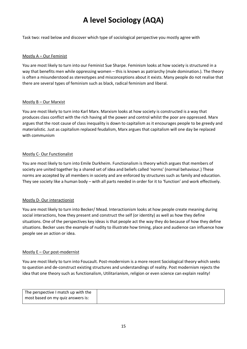Task two: read below and discover which type of sociological perspective you mostly agree with

#### Mostly A – Our Feminist

You are most likely to turn into our Feminist Sue Sharpe. Feminism looks at how society is structured in a way that benefits men while oppressing women – this is known as patriarchy (male domination.). The theory is often a misunderstood as stereotypes and misconceptions about it exists. Many people do not realise that there are several types of feminism such as black, radical feminism and liberal.

#### Mostly B – Our Marxist

You are most likely to turn into Karl Marx. Marxism looks at how society is constructed is a way that produces class conflict with the rich having all the power and control whilst the poor are oppressed. Marx argues that the root cause of class inequality is down to capitalism as it encourages people to be greedy and materialistic. Just as capitalism replaced feudalism, Marx argues that capitalism will one day be replaced with communism

#### Mostly C- Our Functionalist

You are most likely to turn into Emile Durkheim. Functionalism is theory which argues that members of society are united together by a shared set of idea and beliefs called 'norms' (normal behaviour.) These norms are accepted by all members in society and are enforced by structures such as family and education. They see society like a human body – with all parts needed in order for it to 'function' and work effectively.

#### Mostly D- Our interactionist

You are most likely to turn into Becker/ Mead. Interactionism looks at how people create meaning during social interactions, how they present and construct the self (or identity) as well as how they define situations. One of the perspectives key ideas is that people act the way they do because of how they define situations. Becker uses the example of nudity to illustrate how timing, place and audience can influence how people see an action or idea.

#### Mostly E – Our post-modernist

You are most likely to turn into Foucault. Post-modernism is a more recent Sociological theory which seeks to question and de-construct existing structures and understandings of reality. Post modernism rejects the idea that one theory such as functionalism, Utilitarianism, religion or even science can explain reality!

| The perspective I match up with the |  |
|-------------------------------------|--|
| most based on my quiz answers is:   |  |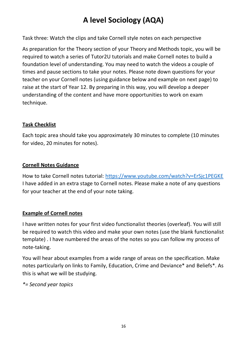Task three: Watch the clips and take Cornell style notes on each perspective

As preparation for the Theory section of your Theory and Methods topic, you will be required to watch a series of Tutor2U tutorials and make Cornell notes to build a foundation level of understanding. You may need to watch the videos a couple of times and pause sections to take your notes. Please note down questions for your teacher on your Cornell notes (using guidance below and example on next page) to raise at the start of Year 12. By preparing in this way, you will develop a deeper understanding of the content and have more opportunities to work on exam technique.

### **Task Checklist**

Each topic area should take you approximately 30 minutes to complete (10 minutes for video, 20 minutes for notes).

### **Cornell Notes Guidance**

How to take Cornell notes tutorial:<https://www.youtube.com/watch?v=ErSjc1PEGKE> I have added in an extra stage to Cornell notes. Please make a note of any questions for your teacher at the end of your note taking.

### **Example of Cornell notes**

I have written notes for your first video functionalist theories (overleaf). You will still be required to watch this video and make your own notes (use the blank functionalist template) . I have numbered the areas of the notes so you can follow my process of note-taking.

You will hear about examples from a wide range of areas on the specification. Make notes particularly on links to Family, Education, Crime and Deviance\* and Beliefs\*. As this is what we will be studying.

*\*= Second year topics*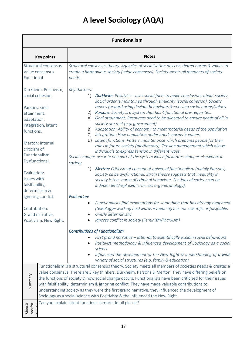| <b>Functionalism</b>                                                                                                          |                                                                                                                                                                                                                                                                                                                                                                                                                                                                                                                                                                                                                                                                                  |  |  |
|-------------------------------------------------------------------------------------------------------------------------------|----------------------------------------------------------------------------------------------------------------------------------------------------------------------------------------------------------------------------------------------------------------------------------------------------------------------------------------------------------------------------------------------------------------------------------------------------------------------------------------------------------------------------------------------------------------------------------------------------------------------------------------------------------------------------------|--|--|
| <b>Key points</b>                                                                                                             | <b>Notes</b>                                                                                                                                                                                                                                                                                                                                                                                                                                                                                                                                                                                                                                                                     |  |  |
| Structural consensus<br>Value consensus<br>Functional                                                                         | Structural consensus theory. Agencies of socialisation pass on shared norms & values to<br>create a harmonious society (value consensus). Society meets all members of society<br>needs.                                                                                                                                                                                                                                                                                                                                                                                                                                                                                         |  |  |
| Durkheim: Positivism,<br>social cohesion.<br>Parsons: Goal<br>attainment,<br>adaptation,<br>integration, latent<br>functions. | Key thinkers:<br><b>Durkheim</b> : Positivist – uses social facts to make conclusions about society.<br>1)<br>Social order is maintained through similarity (social cohesion). Society<br>moves forward using deviant behaviours & evolving social norms/values.<br>Parsons: Society is a system that has 4 functional pre-requisites:<br>2)<br>Goal attainment: Resources need to be allocated to ensure needs of all in<br>A)<br>society are met (e.g. government)<br>Adaptation: Ability of economy to meet material needs of the population<br>B)                                                                                                                            |  |  |
| Merton: Internal<br>criticism of<br>Functionalism.<br>Dysfunctional.                                                          | Integration: How population understands norms & values.<br>$\mathcal{C}$<br>Latent functions: Pattern maintenance which prepares people for their<br>D)<br>roles in future society (meritocracy). Tension management which allows<br>individuals to express tension in different ways.<br>Social changes occur in one part of the system which facilitates changes elsewhere in<br>society.                                                                                                                                                                                                                                                                                      |  |  |
| Evaluation:<br>Issues with<br>falsifiability,<br>determinism &                                                                | <b>Merton:</b> Criticism of concept of universal functionalism (mainly Parsons).<br>1)<br>Society ca be dysfunctional. Strain theory suggests that inequality in<br>society is the source of criminal behaviour. Sections of society can be<br>independent/replaced (criticises organic analogy).                                                                                                                                                                                                                                                                                                                                                                                |  |  |
| ignoring conflict.<br>Contribution:<br>Grand narrative,<br>Positivism, New Right.                                             | <b>Evaluation:</b><br>Functionalists find explanations for something that has already happened<br>٠<br>(teleology- working backwards - meaning it is not scientific or falsifiable.<br>Overly deterministic<br>Ignores conflict in society (Feminism/Marxism)                                                                                                                                                                                                                                                                                                                                                                                                                    |  |  |
|                                                                                                                               | <b>Contributions of Functionalism</b><br>First grand narrative - attempt to scientifically explain social behaviours<br>Positivist methodology & influenced development of Sociology as a social<br>science<br>Influenced the development of the New Right & understanding of a wide<br>$\bullet$<br>variety of social structures (e.g. family & education).                                                                                                                                                                                                                                                                                                                     |  |  |
| Summary                                                                                                                       | Functionalism is a structural consensus theory. Society meets all members of societies needs & creates a<br>value consensus. There are 3 key thinkers. Durkheim, Parsons & Merton. They have differing beliefs on<br>the functions of society & how social change occurs. Functionalists have been criticised for their issues<br>with falsifiability, determinism & ignoring conflict. They have made valuable contributions to<br>understanding society as they were the first grand narrative, they influenced the development of<br>Sociology as a social science with Positivism & the influenced the New Right.<br>Can you explain latent functions in more detail please? |  |  |
| ons for<br>Questi                                                                                                             |                                                                                                                                                                                                                                                                                                                                                                                                                                                                                                                                                                                                                                                                                  |  |  |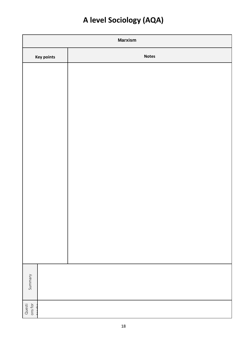| <b>Marxism</b>              |              |
|-----------------------------|--------------|
| <b>Key points</b>           | <b>Notes</b> |
|                             |              |
|                             |              |
|                             |              |
|                             |              |
|                             |              |
|                             |              |
|                             |              |
|                             |              |
|                             |              |
|                             |              |
|                             |              |
|                             |              |
|                             |              |
|                             |              |
| Summary                     |              |
|                             |              |
| Questi<br>ons for<br>ام مصد |              |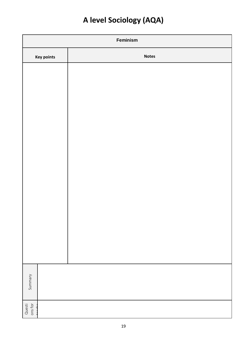| Feminism                    |              |  |  |
|-----------------------------|--------------|--|--|
| <b>Key points</b>           | <b>Notes</b> |  |  |
|                             |              |  |  |
|                             |              |  |  |
|                             |              |  |  |
|                             |              |  |  |
|                             |              |  |  |
|                             |              |  |  |
|                             |              |  |  |
|                             |              |  |  |
|                             |              |  |  |
|                             |              |  |  |
|                             |              |  |  |
|                             |              |  |  |
|                             |              |  |  |
|                             |              |  |  |
| Summary                     |              |  |  |
|                             |              |  |  |
| Questi<br>ons for<br>ام مصد |              |  |  |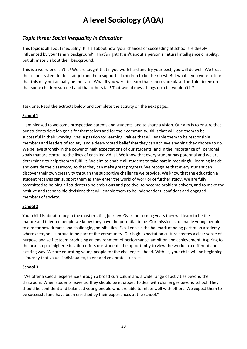#### *Topic three: Social Inequality in Education*

This topic is all about inequality. It is all about how 'your chances of succeeding at school are deeply influenced by your family background'. That's right! It isn't about a person's natural intelligence or ability, but ultimately about their background.

This is a weird one isn't it? We are taught that if you work hard and try your best, you will do well. We trust the school system to do a fair job and help support all children to be their best. But what if you were to learn that this may not actually be the case. What if you were to learn that schools are biased and aim to ensure that some children succeed and that others fail! That would mess things up a bit wouldn't it?

Task one: Read the extracts below and complete the activity on the next page…

#### **School 1**:

I am pleased to welcome prospective parents and students, and to share a vision. Our aim is to ensure that our students develop goals for themselves and for their community, skills that will lead them to be successful in their working lives, a passion for learning, values that will enable them to be responsible members and leaders of society, and a deep-rooted belief that they can achieve anything they choose to do. We believe strongly in the power of high expectations of our students, and in the importance of personal goals that are central to the lives of each individual. We know that every student has potential and we are determined to help them to fulfil it. We aim to enable all students to take part in meaningful learning inside and outside the classroom, so that they can make great progress. We recognise that every student can discover their own creativity through the supportive challenge we provide. We know that the education a student receives can support them as they enter the world of work or of further study. We are fully committed to helping all students to be ambitious and positive, to become problem-solvers, and to make the positive and responsible decisions that will enable them to be independent, confident and engaged members of society.

#### **School 2**:

Your child is about to begin the most exciting journey. Over the coming years they will learn to be the mature and talented people we know they have the potential to be. Our mission is to enable young people to aim for new dreams and challenging possibilities. Excellence is the hallmark of being part of an academy where everyone is proud to be part of the community. Our high expectation culture creates a clear sense of purpose and self-esteem producing an environment of performance, ambition and achievement. Aspiring to the next step of higher education offers our students the opportunity to view the world in a different and exciting way. We are educating young people for the challenges ahead. With us, your child will be beginning a journey that values individuality, talent and celebrates success.

#### **School 3:**

"We offer a special experience through a broad curriculum and a wide range of activities beyond the classroom. When students leave us, they should be equipped to deal with challenges beyond school. They should be confident and balanced young people who are able to relate well with others. We expect them to be successful and have been enriched by their experiences at the school."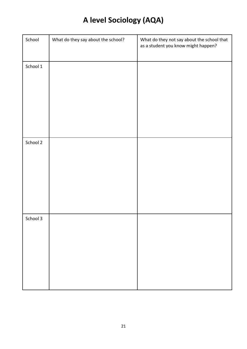| School   | What do they say about the school? | What do they not say about the school that<br>as a student you know might happen? |
|----------|------------------------------------|-----------------------------------------------------------------------------------|
| School 1 |                                    |                                                                                   |
| School 2 |                                    |                                                                                   |
| School 3 |                                    |                                                                                   |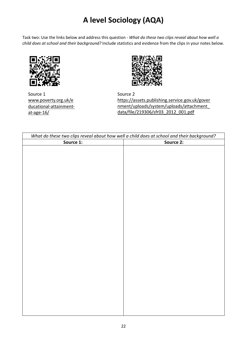Task two: Use the links below and address this question - *What do these two clips reveal about how well a child does at school and their background?* Include statistics and evidence from the clips in your notes below.



Source 1 [www.poverty.org.uk/e](http://www.poverty.org.uk/educational-attainment-at-age-16/) [ducational-attainment](http://www.poverty.org.uk/educational-attainment-at-age-16/)[at-age-16/](http://www.poverty.org.uk/educational-attainment-at-age-16/)



Source 2 [https://assets.publishing.service.gov.uk/gover](https://assets.publishing.service.gov.uk/government/uploads/system/uploads/attachment_data/file/219306/sfr03_2012_001.pdf) [nment/uploads/system/uploads/attachment\\_](https://assets.publishing.service.gov.uk/government/uploads/system/uploads/attachment_data/file/219306/sfr03_2012_001.pdf) [data/file/219306/sfr03\\_2012\\_001.pdf](https://assets.publishing.service.gov.uk/government/uploads/system/uploads/attachment_data/file/219306/sfr03_2012_001.pdf)

| What do these two clips reveal about how well a child does at school and their background? |           |  |  |  |
|--------------------------------------------------------------------------------------------|-----------|--|--|--|
| Source 1:                                                                                  | Source 2: |  |  |  |
|                                                                                            |           |  |  |  |
|                                                                                            |           |  |  |  |
|                                                                                            |           |  |  |  |
|                                                                                            |           |  |  |  |
|                                                                                            |           |  |  |  |
|                                                                                            |           |  |  |  |
|                                                                                            |           |  |  |  |
|                                                                                            |           |  |  |  |
|                                                                                            |           |  |  |  |
|                                                                                            |           |  |  |  |
|                                                                                            |           |  |  |  |
|                                                                                            |           |  |  |  |
|                                                                                            |           |  |  |  |
|                                                                                            |           |  |  |  |
|                                                                                            |           |  |  |  |
|                                                                                            |           |  |  |  |
|                                                                                            |           |  |  |  |
|                                                                                            |           |  |  |  |
|                                                                                            |           |  |  |  |
|                                                                                            |           |  |  |  |
|                                                                                            |           |  |  |  |
|                                                                                            |           |  |  |  |
|                                                                                            |           |  |  |  |
|                                                                                            |           |  |  |  |
|                                                                                            |           |  |  |  |
|                                                                                            |           |  |  |  |
|                                                                                            |           |  |  |  |
|                                                                                            |           |  |  |  |
|                                                                                            |           |  |  |  |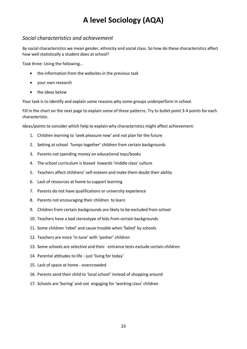#### *Social characteristics and achievement*

By social characteristics we mean gender, ethnicity and social class. So how do these characteristics affect how well statistically a student does at school?

Task three: Using the following…

- the information from the websites in the previous task
- your own research
- the ideas below

Your task is to identify and explain some reasons why some groups underperform in school.

Fill in the chart on the next page to explain some of these patterns. Try to bullet point 3-4 points for each characteristic.

Ideas/points to consider which help to explain why characteristics might affect achievement:

- 1. Children learning to 'seek pleasure now' and not plan for the future
- 2. Setting at school 'lumps together' children from certain backgrounds
- 3. Parents not spending money on educational toys/books
- 4. The school curriculum is biased towards 'middle class' culture
- 5. Teachers affect childrens' self-esteem and make them doubt their ability
- 6. Lack of resources at home to support learning
- 7. Parents do not have qualifications or university experience
- 8. Parents not encouraging their children to learn
- 9. Children from certain backgrounds are likely to be excluded from school
- 10. Teachers have a bad stereotype of kids from certain backgrounds
- 11. Some children 'rebel' and cause trouble when 'failed' by schools
- 12. Teachers are more 'in tune' with 'posher' children
- 13. Some schools are selective and their entrance tests exclude certain children
- 14. Parental attitudes to life just 'living for today'
- 15. Lack of space at home overcrowded
- 16. Parents send their child to 'local school' instead of shopping around
- 17. Schools are 'boring' and not engaging for 'working class' children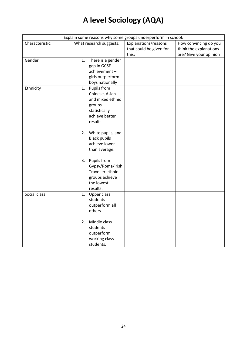| Explain some reasons why some groups underperform in school: |                                                                                                                                                                                                   |                                                          |                                                                           |  |  |
|--------------------------------------------------------------|---------------------------------------------------------------------------------------------------------------------------------------------------------------------------------------------------|----------------------------------------------------------|---------------------------------------------------------------------------|--|--|
| Characteristic:                                              | What research suggests:                                                                                                                                                                           | Explanations/reasons<br>that could be given for<br>this: | How convincing do you<br>think the explanations<br>are? Give your opinion |  |  |
| Gender                                                       | There is a gender<br>1.<br>gap in GCSE<br>achievement-<br>girls outperform<br>boys nationally                                                                                                     |                                                          |                                                                           |  |  |
| Ethnicity                                                    | 1. Pupils from<br>Chinese, Asian<br>and mixed ethnic<br>groups<br>statistically<br>achieve better<br>results.<br>White pupils, and<br>2.<br><b>Black pupils</b><br>achieve lower<br>than average. |                                                          |                                                                           |  |  |
|                                                              | Pupils from<br>3.<br>Gypsy/Roma/Irish<br>Traveller ethnic<br>groups achieve<br>the lowest<br>results.                                                                                             |                                                          |                                                                           |  |  |
| Social class                                                 | Upper class<br>1.<br>students<br>outperform all<br>others                                                                                                                                         |                                                          |                                                                           |  |  |
|                                                              | Middle class<br>2.<br>students<br>outperform<br>working class<br>students.                                                                                                                        |                                                          |                                                                           |  |  |